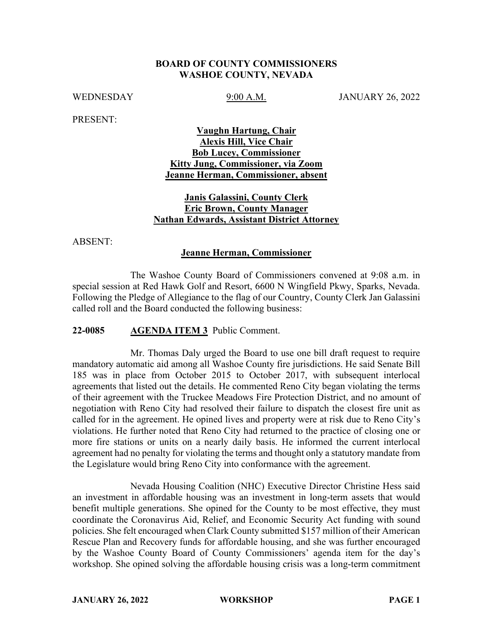#### **BOARD OF COUNTY COMMISSIONERS WASHOE COUNTY, NEVADA**

WEDNESDAY 9:00 A.M. JANUARY 26, 2022

PRESENT:

# **Vaughn Hartung, Chair Alexis Hill, Vice Chair Bob Lucey, Commissioner Kitty Jung, Commissioner, via Zoom Jeanne Herman, Commissioner, absent**

# **Janis Galassini, County Clerk Eric Brown, County Manager Nathan Edwards, Assistant District Attorney**

ABSENT:

### **Jeanne Herman, Commissioner**

The Washoe County Board of Commissioners convened at 9:08 a.m. in special session at Red Hawk Golf and Resort, 6600 N Wingfield Pkwy, Sparks, Nevada. Following the Pledge of Allegiance to the flag of our Country, County Clerk Jan Galassini called roll and the Board conducted the following business:

#### **22-0085 AGENDA ITEM 3** Public Comment.

Mr. Thomas Daly urged the Board to use one bill draft request to require mandatory automatic aid among all Washoe County fire jurisdictions. He said Senate Bill 185 was in place from October 2015 to October 2017, with subsequent interlocal agreements that listed out the details. He commented Reno City began violating the terms of their agreement with the Truckee Meadows Fire Protection District, and no amount of negotiation with Reno City had resolved their failure to dispatch the closest fire unit as called for in the agreement. He opined lives and property were at risk due to Reno City's violations. He further noted that Reno City had returned to the practice of closing one or more fire stations or units on a nearly daily basis. He informed the current interlocal agreement had no penalty for violating the terms and thought only a statutory mandate from the Legislature would bring Reno City into conformance with the agreement.

Nevada Housing Coalition (NHC) Executive Director Christine Hess said an investment in affordable housing was an investment in long-term assets that would benefit multiple generations. She opined for the County to be most effective, they must coordinate the Coronavirus Aid, Relief, and Economic Security Act funding with sound policies. She felt encouraged when Clark County submitted \$157 million of their American Rescue Plan and Recovery funds for affordable housing, and she was further encouraged by the Washoe County Board of County Commissioners' agenda item for the day's workshop. She opined solving the affordable housing crisis was a long-term commitment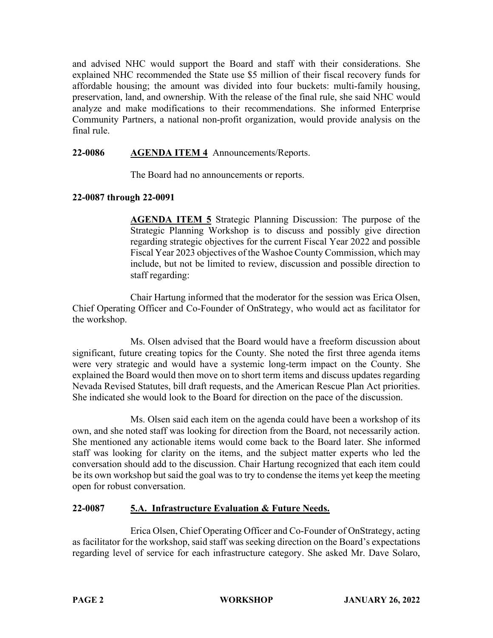and advised NHC would support the Board and staff with their considerations. She explained NHC recommended the State use \$5 million of their fiscal recovery funds for affordable housing; the amount was divided into four buckets: multi-family housing, preservation, land, and ownership. With the release of the final rule, she said NHC would analyze and make modifications to their recommendations. She informed Enterprise Community Partners, a national non-profit organization, would provide analysis on the final rule.

# **22-0086 AGENDA ITEM 4** Announcements/Reports.

The Board had no announcements or reports.

### **22-0087 through 22-0091**

**AGENDA ITEM 5** Strategic Planning Discussion: The purpose of the Strategic Planning Workshop is to discuss and possibly give direction regarding strategic objectives for the current Fiscal Year 2022 and possible Fiscal Year 2023 objectives of the Washoe County Commission, which may include, but not be limited to review, discussion and possible direction to staff regarding:

Chair Hartung informed that the moderator for the session was Erica Olsen, Chief Operating Officer and Co-Founder of OnStrategy, who would act as facilitator for the workshop.

Ms. Olsen advised that the Board would have a freeform discussion about significant, future creating topics for the County. She noted the first three agenda items were very strategic and would have a systemic long-term impact on the County. She explained the Board would then move on to short term items and discuss updates regarding Nevada Revised Statutes, bill draft requests, and the American Rescue Plan Act priorities. She indicated she would look to the Board for direction on the pace of the discussion.

Ms. Olsen said each item on the agenda could have been a workshop of its own, and she noted staff was looking for direction from the Board, not necessarily action. She mentioned any actionable items would come back to the Board later. She informed staff was looking for clarity on the items, and the subject matter experts who led the conversation should add to the discussion. Chair Hartung recognized that each item could be its own workshop but said the goal was to try to condense the items yet keep the meeting open for robust conversation.

### **22-0087 5.A. Infrastructure Evaluation & Future Needs.**

Erica Olsen, Chief Operating Officer and Co-Founder of OnStrategy, acting as facilitator for the workshop, said staff was seeking direction on the Board's expectations regarding level of service for each infrastructure category. She asked Mr. Dave Solaro,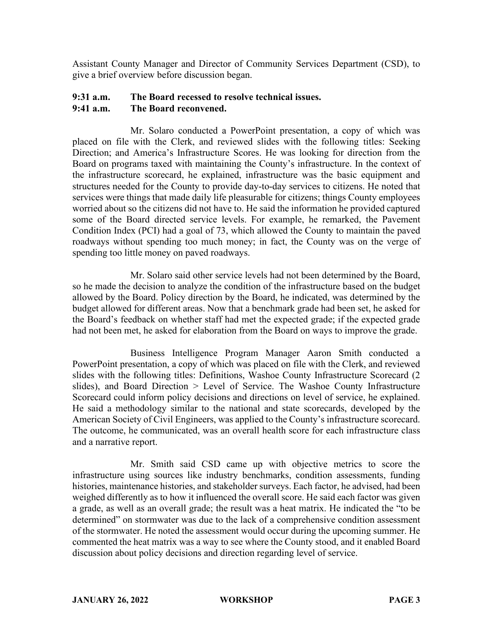Assistant County Manager and Director of Community Services Department (CSD), to give a brief overview before discussion began.

### **9:31 a.m. The Board recessed to resolve technical issues. 9:41 a.m. The Board reconvened.**

Mr. Solaro conducted a PowerPoint presentation, a copy of which was placed on file with the Clerk, and reviewed slides with the following titles: Seeking Direction; and America's Infrastructure Scores. He was looking for direction from the Board on programs taxed with maintaining the County's infrastructure. In the context of the infrastructure scorecard, he explained, infrastructure was the basic equipment and structures needed for the County to provide day-to-day services to citizens. He noted that services were things that made daily life pleasurable for citizens; things County employees worried about so the citizens did not have to. He said the information he provided captured some of the Board directed service levels. For example, he remarked, the Pavement Condition Index (PCI) had a goal of 73, which allowed the County to maintain the paved roadways without spending too much money; in fact, the County was on the verge of spending too little money on paved roadways.

Mr. Solaro said other service levels had not been determined by the Board, so he made the decision to analyze the condition of the infrastructure based on the budget allowed by the Board. Policy direction by the Board, he indicated, was determined by the budget allowed for different areas. Now that a benchmark grade had been set, he asked for the Board's feedback on whether staff had met the expected grade; if the expected grade had not been met, he asked for elaboration from the Board on ways to improve the grade.

Business Intelligence Program Manager Aaron Smith conducted a PowerPoint presentation, a copy of which was placed on file with the Clerk, and reviewed slides with the following titles: Definitions, Washoe County Infrastructure Scorecard (2 slides), and Board Direction > Level of Service. The Washoe County Infrastructure Scorecard could inform policy decisions and directions on level of service, he explained. He said a methodology similar to the national and state scorecards, developed by the American Society of Civil Engineers, was applied to the County's infrastructure scorecard. The outcome, he communicated, was an overall health score for each infrastructure class and a narrative report.

Mr. Smith said CSD came up with objective metrics to score the infrastructure using sources like industry benchmarks, condition assessments, funding histories, maintenance histories, and stakeholder surveys. Each factor, he advised, had been weighed differently as to how it influenced the overall score. He said each factor was given a grade, as well as an overall grade; the result was a heat matrix. He indicated the "to be determined" on stormwater was due to the lack of a comprehensive condition assessment of the stormwater. He noted the assessment would occur during the upcoming summer. He commented the heat matrix was a way to see where the County stood, and it enabled Board discussion about policy decisions and direction regarding level of service.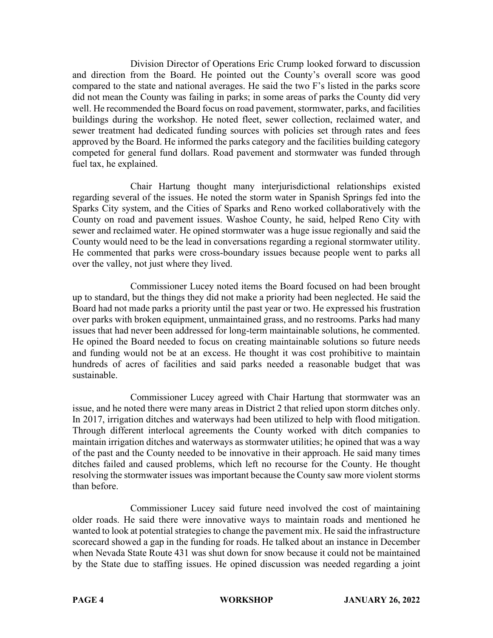Division Director of Operations Eric Crump looked forward to discussion and direction from the Board. He pointed out the County's overall score was good compared to the state and national averages. He said the two F's listed in the parks score did not mean the County was failing in parks; in some areas of parks the County did very well. He recommended the Board focus on road pavement, stormwater, parks, and facilities buildings during the workshop. He noted fleet, sewer collection, reclaimed water, and sewer treatment had dedicated funding sources with policies set through rates and fees approved by the Board. He informed the parks category and the facilities building category competed for general fund dollars. Road pavement and stormwater was funded through fuel tax, he explained.

Chair Hartung thought many interjurisdictional relationships existed regarding several of the issues. He noted the storm water in Spanish Springs fed into the Sparks City system, and the Cities of Sparks and Reno worked collaboratively with the County on road and pavement issues. Washoe County, he said, helped Reno City with sewer and reclaimed water. He opined stormwater was a huge issue regionally and said the County would need to be the lead in conversations regarding a regional stormwater utility. He commented that parks were cross-boundary issues because people went to parks all over the valley, not just where they lived.

Commissioner Lucey noted items the Board focused on had been brought up to standard, but the things they did not make a priority had been neglected. He said the Board had not made parks a priority until the past year or two. He expressed his frustration over parks with broken equipment, unmaintained grass, and no restrooms. Parks had many issues that had never been addressed for long-term maintainable solutions, he commented. He opined the Board needed to focus on creating maintainable solutions so future needs and funding would not be at an excess. He thought it was cost prohibitive to maintain hundreds of acres of facilities and said parks needed a reasonable budget that was sustainable.

Commissioner Lucey agreed with Chair Hartung that stormwater was an issue, and he noted there were many areas in District 2 that relied upon storm ditches only. In 2017, irrigation ditches and waterways had been utilized to help with flood mitigation. Through different interlocal agreements the County worked with ditch companies to maintain irrigation ditches and waterways as stormwater utilities; he opined that was a way of the past and the County needed to be innovative in their approach. He said many times ditches failed and caused problems, which left no recourse for the County. He thought resolving the stormwater issues was important because the County saw more violent storms than before.

Commissioner Lucey said future need involved the cost of maintaining older roads. He said there were innovative ways to maintain roads and mentioned he wanted to look at potential strategies to change the pavement mix. He said the infrastructure scorecard showed a gap in the funding for roads. He talked about an instance in December when Nevada State Route 431 was shut down for snow because it could not be maintained by the State due to staffing issues. He opined discussion was needed regarding a joint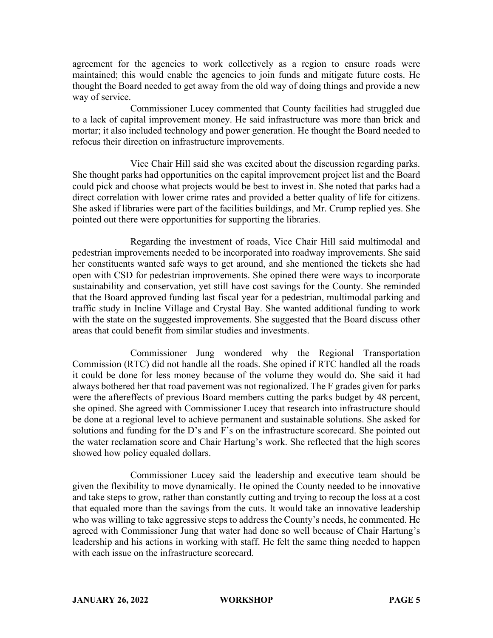agreement for the agencies to work collectively as a region to ensure roads were maintained; this would enable the agencies to join funds and mitigate future costs. He thought the Board needed to get away from the old way of doing things and provide a new way of service.

Commissioner Lucey commented that County facilities had struggled due to a lack of capital improvement money. He said infrastructure was more than brick and mortar; it also included technology and power generation. He thought the Board needed to refocus their direction on infrastructure improvements.

Vice Chair Hill said she was excited about the discussion regarding parks. She thought parks had opportunities on the capital improvement project list and the Board could pick and choose what projects would be best to invest in. She noted that parks had a direct correlation with lower crime rates and provided a better quality of life for citizens. She asked if libraries were part of the facilities buildings, and Mr. Crump replied yes. She pointed out there were opportunities for supporting the libraries.

Regarding the investment of roads, Vice Chair Hill said multimodal and pedestrian improvements needed to be incorporated into roadway improvements. She said her constituents wanted safe ways to get around, and she mentioned the tickets she had open with CSD for pedestrian improvements. She opined there were ways to incorporate sustainability and conservation, yet still have cost savings for the County. She reminded that the Board approved funding last fiscal year for a pedestrian, multimodal parking and traffic study in Incline Village and Crystal Bay. She wanted additional funding to work with the state on the suggested improvements. She suggested that the Board discuss other areas that could benefit from similar studies and investments.

Commissioner Jung wondered why the Regional Transportation Commission (RTC) did not handle all the roads. She opined if RTC handled all the roads it could be done for less money because of the volume they would do. She said it had always bothered her that road pavement was not regionalized. The F grades given for parks were the aftereffects of previous Board members cutting the parks budget by 48 percent, she opined. She agreed with Commissioner Lucey that research into infrastructure should be done at a regional level to achieve permanent and sustainable solutions. She asked for solutions and funding for the D's and F's on the infrastructure scorecard. She pointed out the water reclamation score and Chair Hartung's work. She reflected that the high scores showed how policy equaled dollars.

Commissioner Lucey said the leadership and executive team should be given the flexibility to move dynamically. He opined the County needed to be innovative and take steps to grow, rather than constantly cutting and trying to recoup the loss at a cost that equaled more than the savings from the cuts. It would take an innovative leadership who was willing to take aggressive steps to address the County's needs, he commented. He agreed with Commissioner Jung that water had done so well because of Chair Hartung's leadership and his actions in working with staff. He felt the same thing needed to happen with each issue on the infrastructure scorecard.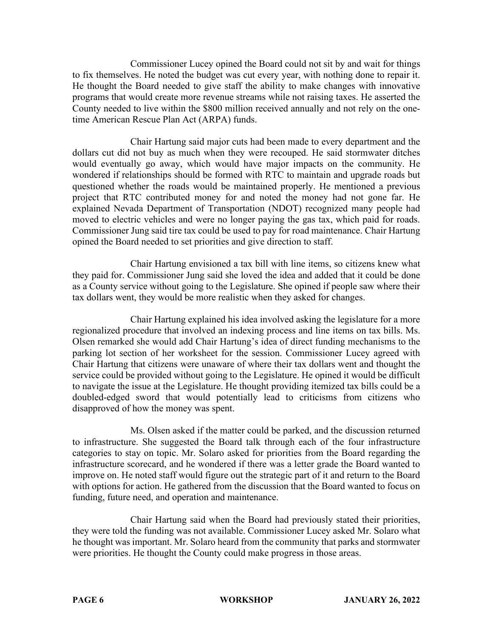Commissioner Lucey opined the Board could not sit by and wait for things to fix themselves. He noted the budget was cut every year, with nothing done to repair it. He thought the Board needed to give staff the ability to make changes with innovative programs that would create more revenue streams while not raising taxes. He asserted the County needed to live within the \$800 million received annually and not rely on the onetime American Rescue Plan Act (ARPA) funds.

Chair Hartung said major cuts had been made to every department and the dollars cut did not buy as much when they were recouped. He said stormwater ditches would eventually go away, which would have major impacts on the community. He wondered if relationships should be formed with RTC to maintain and upgrade roads but questioned whether the roads would be maintained properly. He mentioned a previous project that RTC contributed money for and noted the money had not gone far. He explained Nevada Department of Transportation (NDOT) recognized many people had moved to electric vehicles and were no longer paying the gas tax, which paid for roads. Commissioner Jung said tire tax could be used to pay for road maintenance. Chair Hartung opined the Board needed to set priorities and give direction to staff.

Chair Hartung envisioned a tax bill with line items, so citizens knew what they paid for. Commissioner Jung said she loved the idea and added that it could be done as a County service without going to the Legislature. She opined if people saw where their tax dollars went, they would be more realistic when they asked for changes.

Chair Hartung explained his idea involved asking the legislature for a more regionalized procedure that involved an indexing process and line items on tax bills. Ms. Olsen remarked she would add Chair Hartung's idea of direct funding mechanisms to the parking lot section of her worksheet for the session. Commissioner Lucey agreed with Chair Hartung that citizens were unaware of where their tax dollars went and thought the service could be provided without going to the Legislature. He opined it would be difficult to navigate the issue at the Legislature. He thought providing itemized tax bills could be a doubled-edged sword that would potentially lead to criticisms from citizens who disapproved of how the money was spent.

Ms. Olsen asked if the matter could be parked, and the discussion returned to infrastructure. She suggested the Board talk through each of the four infrastructure categories to stay on topic. Mr. Solaro asked for priorities from the Board regarding the infrastructure scorecard, and he wondered if there was a letter grade the Board wanted to improve on. He noted staff would figure out the strategic part of it and return to the Board with options for action. He gathered from the discussion that the Board wanted to focus on funding, future need, and operation and maintenance.

Chair Hartung said when the Board had previously stated their priorities, they were told the funding was not available. Commissioner Lucey asked Mr. Solaro what he thought was important. Mr. Solaro heard from the community that parks and stormwater were priorities. He thought the County could make progress in those areas.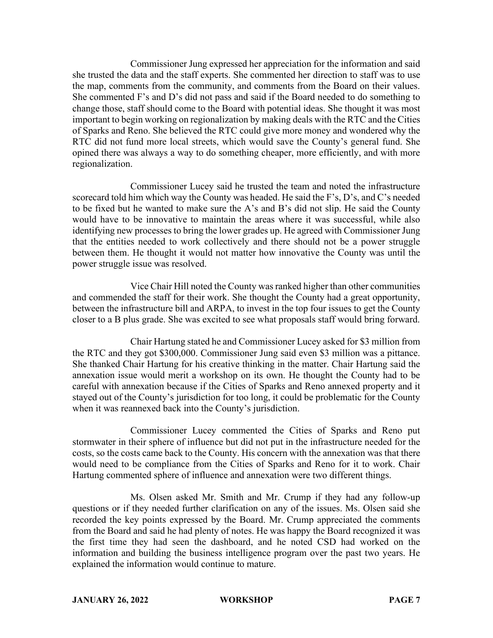Commissioner Jung expressed her appreciation for the information and said she trusted the data and the staff experts. She commented her direction to staff was to use the map, comments from the community, and comments from the Board on their values. She commented F's and D's did not pass and said if the Board needed to do something to change those, staff should come to the Board with potential ideas. She thought it was most important to begin working on regionalization by making deals with the RTC and the Cities of Sparks and Reno. She believed the RTC could give more money and wondered why the RTC did not fund more local streets, which would save the County's general fund. She opined there was always a way to do something cheaper, more efficiently, and with more regionalization.

Commissioner Lucey said he trusted the team and noted the infrastructure scorecard told him which way the County was headed. He said the F's, D's, and C's needed to be fixed but he wanted to make sure the A's and B's did not slip. He said the County would have to be innovative to maintain the areas where it was successful, while also identifying new processes to bring the lower grades up. He agreed with Commissioner Jung that the entities needed to work collectively and there should not be a power struggle between them. He thought it would not matter how innovative the County was until the power struggle issue was resolved.

Vice Chair Hill noted the County was ranked higher than other communities and commended the staff for their work. She thought the County had a great opportunity, between the infrastructure bill and ARPA, to invest in the top four issues to get the County closer to a B plus grade. She was excited to see what proposals staff would bring forward.

Chair Hartung stated he and Commissioner Lucey asked for \$3 million from the RTC and they got \$300,000. Commissioner Jung said even \$3 million was a pittance. She thanked Chair Hartung for his creative thinking in the matter. Chair Hartung said the annexation issue would merit a workshop on its own. He thought the County had to be careful with annexation because if the Cities of Sparks and Reno annexed property and it stayed out of the County's jurisdiction for too long, it could be problematic for the County when it was reannexed back into the County's jurisdiction.

Commissioner Lucey commented the Cities of Sparks and Reno put stormwater in their sphere of influence but did not put in the infrastructure needed for the costs, so the costs came back to the County. His concern with the annexation was that there would need to be compliance from the Cities of Sparks and Reno for it to work. Chair Hartung commented sphere of influence and annexation were two different things.

Ms. Olsen asked Mr. Smith and Mr. Crump if they had any follow-up questions or if they needed further clarification on any of the issues. Ms. Olsen said she recorded the key points expressed by the Board. Mr. Crump appreciated the comments from the Board and said he had plenty of notes. He was happy the Board recognized it was the first time they had seen the dashboard, and he noted CSD had worked on the information and building the business intelligence program over the past two years. He explained the information would continue to mature.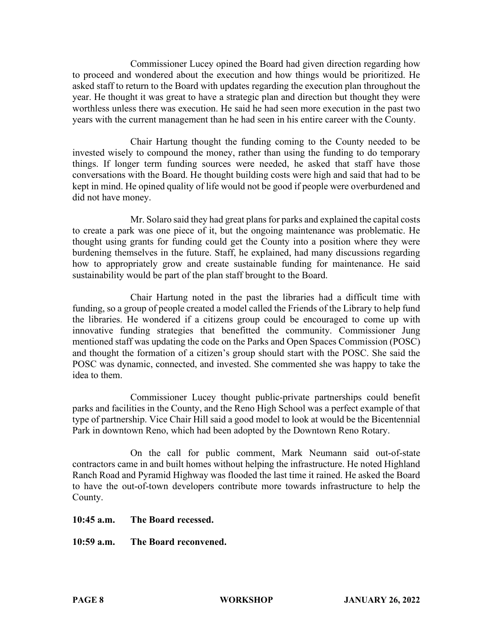Commissioner Lucey opined the Board had given direction regarding how to proceed and wondered about the execution and how things would be prioritized. He asked staff to return to the Board with updates regarding the execution plan throughout the year. He thought it was great to have a strategic plan and direction but thought they were worthless unless there was execution. He said he had seen more execution in the past two years with the current management than he had seen in his entire career with the County.

Chair Hartung thought the funding coming to the County needed to be invested wisely to compound the money, rather than using the funding to do temporary things. If longer term funding sources were needed, he asked that staff have those conversations with the Board. He thought building costs were high and said that had to be kept in mind. He opined quality of life would not be good if people were overburdened and did not have money.

Mr. Solaro said they had great plans for parks and explained the capital costs to create a park was one piece of it, but the ongoing maintenance was problematic. He thought using grants for funding could get the County into a position where they were burdening themselves in the future. Staff, he explained, had many discussions regarding how to appropriately grow and create sustainable funding for maintenance. He said sustainability would be part of the plan staff brought to the Board.

Chair Hartung noted in the past the libraries had a difficult time with funding, so a group of people created a model called the Friends of the Library to help fund the libraries. He wondered if a citizens group could be encouraged to come up with innovative funding strategies that benefitted the community. Commissioner Jung mentioned staff was updating the code on the Parks and Open Spaces Commission (POSC) and thought the formation of a citizen's group should start with the POSC. She said the POSC was dynamic, connected, and invested. She commented she was happy to take the idea to them.

Commissioner Lucey thought public-private partnerships could benefit parks and facilities in the County, and the Reno High School was a perfect example of that type of partnership. Vice Chair Hill said a good model to look at would be the Bicentennial Park in downtown Reno, which had been adopted by the Downtown Reno Rotary.

On the call for public comment, Mark Neumann said out-of-state contractors came in and built homes without helping the infrastructure. He noted Highland Ranch Road and Pyramid Highway was flooded the last time it rained. He asked the Board to have the out-of-town developers contribute more towards infrastructure to help the County.

**10:45 a.m. The Board recessed.**

**10:59 a.m. The Board reconvened.**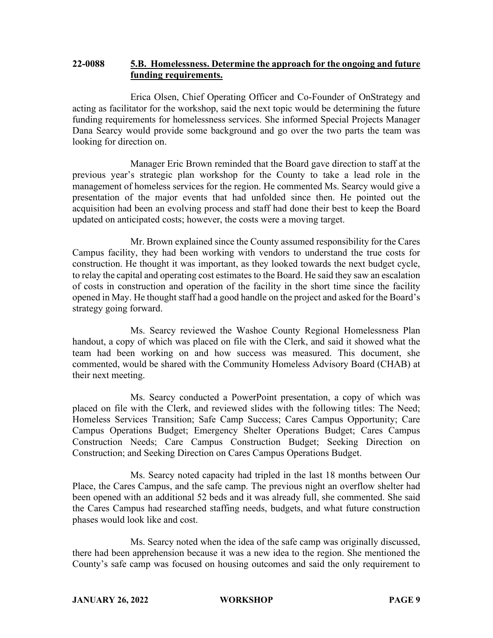### **22-0088 5.B. Homelessness. Determine the approach for the ongoing and future funding requirements.**

Erica Olsen, Chief Operating Officer and Co-Founder of OnStrategy and acting as facilitator for the workshop, said the next topic would be determining the future funding requirements for homelessness services. She informed Special Projects Manager Dana Searcy would provide some background and go over the two parts the team was looking for direction on.

Manager Eric Brown reminded that the Board gave direction to staff at the previous year's strategic plan workshop for the County to take a lead role in the management of homeless services for the region. He commented Ms. Searcy would give a presentation of the major events that had unfolded since then. He pointed out the acquisition had been an evolving process and staff had done their best to keep the Board updated on anticipated costs; however, the costs were a moving target.

Mr. Brown explained since the County assumed responsibility for the Cares Campus facility, they had been working with vendors to understand the true costs for construction. He thought it was important, as they looked towards the next budget cycle, to relay the capital and operating cost estimates to the Board. He said they saw an escalation of costs in construction and operation of the facility in the short time since the facility opened in May. He thought staff had a good handle on the project and asked for the Board's strategy going forward.

Ms. Searcy reviewed the Washoe County Regional Homelessness Plan handout, a copy of which was placed on file with the Clerk, and said it showed what the team had been working on and how success was measured. This document, she commented, would be shared with the Community Homeless Advisory Board (CHAB) at their next meeting.

Ms. Searcy conducted a PowerPoint presentation, a copy of which was placed on file with the Clerk, and reviewed slides with the following titles: The Need; Homeless Services Transition; Safe Camp Success; Cares Campus Opportunity; Care Campus Operations Budget; Emergency Shelter Operations Budget; Cares Campus Construction Needs; Care Campus Construction Budget; Seeking Direction on Construction; and Seeking Direction on Cares Campus Operations Budget.

Ms. Searcy noted capacity had tripled in the last 18 months between Our Place, the Cares Campus, and the safe camp. The previous night an overflow shelter had been opened with an additional 52 beds and it was already full, she commented. She said the Cares Campus had researched staffing needs, budgets, and what future construction phases would look like and cost.

Ms. Searcy noted when the idea of the safe camp was originally discussed, there had been apprehension because it was a new idea to the region. She mentioned the County's safe camp was focused on housing outcomes and said the only requirement to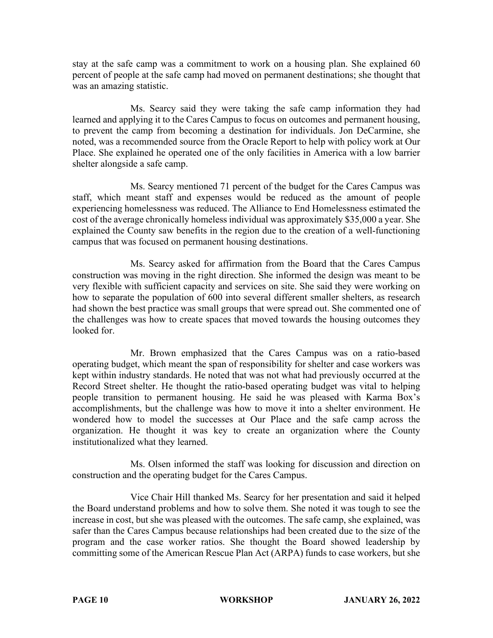stay at the safe camp was a commitment to work on a housing plan. She explained 60 percent of people at the safe camp had moved on permanent destinations; she thought that was an amazing statistic.

Ms. Searcy said they were taking the safe camp information they had learned and applying it to the Cares Campus to focus on outcomes and permanent housing, to prevent the camp from becoming a destination for individuals. Jon DeCarmine, she noted, was a recommended source from the Oracle Report to help with policy work at Our Place. She explained he operated one of the only facilities in America with a low barrier shelter alongside a safe camp.

Ms. Searcy mentioned 71 percent of the budget for the Cares Campus was staff, which meant staff and expenses would be reduced as the amount of people experiencing homelessness was reduced. The Alliance to End Homelessness estimated the cost of the average chronically homeless individual was approximately \$35,000 a year. She explained the County saw benefits in the region due to the creation of a well-functioning campus that was focused on permanent housing destinations.

Ms. Searcy asked for affirmation from the Board that the Cares Campus construction was moving in the right direction. She informed the design was meant to be very flexible with sufficient capacity and services on site. She said they were working on how to separate the population of 600 into several different smaller shelters, as research had shown the best practice was small groups that were spread out. She commented one of the challenges was how to create spaces that moved towards the housing outcomes they looked for.

Mr. Brown emphasized that the Cares Campus was on a ratio-based operating budget, which meant the span of responsibility for shelter and case workers was kept within industry standards. He noted that was not what had previously occurred at the Record Street shelter. He thought the ratio-based operating budget was vital to helping people transition to permanent housing. He said he was pleased with Karma Box's accomplishments, but the challenge was how to move it into a shelter environment. He wondered how to model the successes at Our Place and the safe camp across the organization. He thought it was key to create an organization where the County institutionalized what they learned.

Ms. Olsen informed the staff was looking for discussion and direction on construction and the operating budget for the Cares Campus.

Vice Chair Hill thanked Ms. Searcy for her presentation and said it helped the Board understand problems and how to solve them. She noted it was tough to see the increase in cost, but she was pleased with the outcomes. The safe camp, she explained, was safer than the Cares Campus because relationships had been created due to the size of the program and the case worker ratios. She thought the Board showed leadership by committing some of the American Rescue Plan Act (ARPA) funds to case workers, but she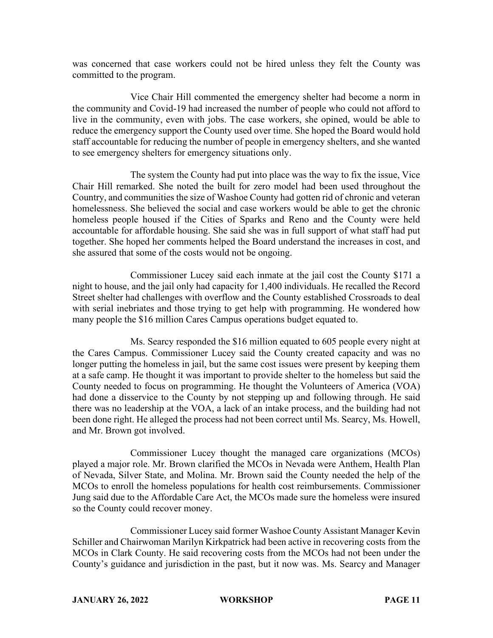was concerned that case workers could not be hired unless they felt the County was committed to the program.

Vice Chair Hill commented the emergency shelter had become a norm in the community and Covid-19 had increased the number of people who could not afford to live in the community, even with jobs. The case workers, she opined, would be able to reduce the emergency support the County used over time. She hoped the Board would hold staff accountable for reducing the number of people in emergency shelters, and she wanted to see emergency shelters for emergency situations only.

The system the County had put into place was the way to fix the issue, Vice Chair Hill remarked. She noted the built for zero model had been used throughout the Country, and communities the size of Washoe County had gotten rid of chronic and veteran homelessness. She believed the social and case workers would be able to get the chronic homeless people housed if the Cities of Sparks and Reno and the County were held accountable for affordable housing. She said she was in full support of what staff had put together. She hoped her comments helped the Board understand the increases in cost, and she assured that some of the costs would not be ongoing.

Commissioner Lucey said each inmate at the jail cost the County \$171 a night to house, and the jail only had capacity for 1,400 individuals. He recalled the Record Street shelter had challenges with overflow and the County established Crossroads to deal with serial inebriates and those trying to get help with programming. He wondered how many people the \$16 million Cares Campus operations budget equated to.

Ms. Searcy responded the \$16 million equated to 605 people every night at the Cares Campus. Commissioner Lucey said the County created capacity and was no longer putting the homeless in jail, but the same cost issues were present by keeping them at a safe camp. He thought it was important to provide shelter to the homeless but said the County needed to focus on programming. He thought the Volunteers of America (VOA) had done a disservice to the County by not stepping up and following through. He said there was no leadership at the VOA, a lack of an intake process, and the building had not been done right. He alleged the process had not been correct until Ms. Searcy, Ms. Howell, and Mr. Brown got involved.

Commissioner Lucey thought the managed care organizations (MCOs) played a major role. Mr. Brown clarified the MCOs in Nevada were Anthem, Health Plan of Nevada, Silver State, and Molina. Mr. Brown said the County needed the help of the MCOs to enroll the homeless populations for health cost reimbursements. Commissioner Jung said due to the Affordable Care Act, the MCOs made sure the homeless were insured so the County could recover money.

Commissioner Lucey said former Washoe County Assistant Manager Kevin Schiller and Chairwoman Marilyn Kirkpatrick had been active in recovering costs from the MCOs in Clark County. He said recovering costs from the MCOs had not been under the County's guidance and jurisdiction in the past, but it now was. Ms. Searcy and Manager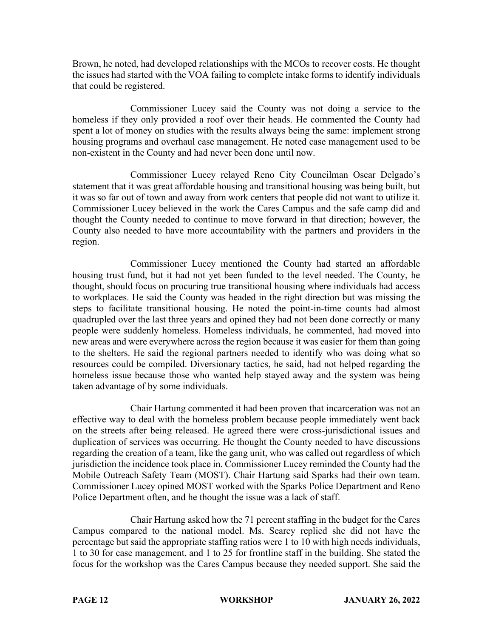Brown, he noted, had developed relationships with the MCOs to recover costs. He thought the issues had started with the VOA failing to complete intake forms to identify individuals that could be registered.

Commissioner Lucey said the County was not doing a service to the homeless if they only provided a roof over their heads. He commented the County had spent a lot of money on studies with the results always being the same: implement strong housing programs and overhaul case management. He noted case management used to be non-existent in the County and had never been done until now.

Commissioner Lucey relayed Reno City Councilman Oscar Delgado's statement that it was great affordable housing and transitional housing was being built, but it was so far out of town and away from work centers that people did not want to utilize it. Commissioner Lucey believed in the work the Cares Campus and the safe camp did and thought the County needed to continue to move forward in that direction; however, the County also needed to have more accountability with the partners and providers in the region.

Commissioner Lucey mentioned the County had started an affordable housing trust fund, but it had not yet been funded to the level needed. The County, he thought, should focus on procuring true transitional housing where individuals had access to workplaces. He said the County was headed in the right direction but was missing the steps to facilitate transitional housing. He noted the point-in-time counts had almost quadrupled over the last three years and opined they had not been done correctly or many people were suddenly homeless. Homeless individuals, he commented, had moved into new areas and were everywhere across the region because it was easier for them than going to the shelters. He said the regional partners needed to identify who was doing what so resources could be compiled. Diversionary tactics, he said, had not helped regarding the homeless issue because those who wanted help stayed away and the system was being taken advantage of by some individuals.

Chair Hartung commented it had been proven that incarceration was not an effective way to deal with the homeless problem because people immediately went back on the streets after being released. He agreed there were cross-jurisdictional issues and duplication of services was occurring. He thought the County needed to have discussions regarding the creation of a team, like the gang unit, who was called out regardless of which jurisdiction the incidence took place in. Commissioner Lucey reminded the County had the Mobile Outreach Safety Team (MOST). Chair Hartung said Sparks had their own team. Commissioner Lucey opined MOST worked with the Sparks Police Department and Reno Police Department often, and he thought the issue was a lack of staff.

Chair Hartung asked how the 71 percent staffing in the budget for the Cares Campus compared to the national model. Ms. Searcy replied she did not have the percentage but said the appropriate staffing ratios were 1 to 10 with high needs individuals, 1 to 30 for case management, and 1 to 25 for frontline staff in the building. She stated the focus for the workshop was the Cares Campus because they needed support. She said the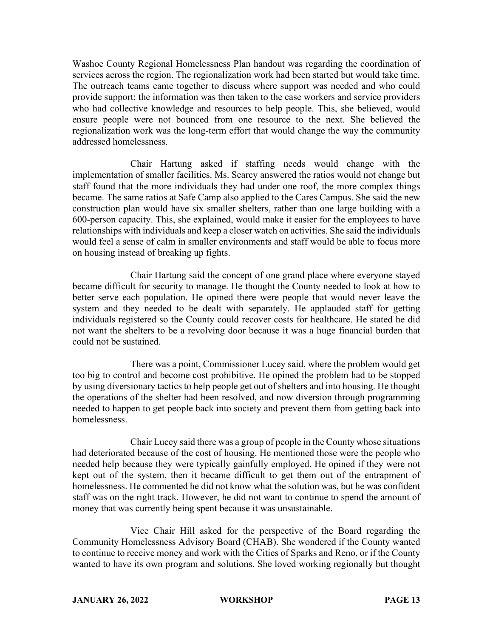Washoe County Regional Homelessness Plan handout was regarding the coordination of services across the region. The regionalization work had been started but would take time. The outreach teams came together to discuss where support was needed and who could provide support; the information was then taken to the case workers and service providers who had collective knowledge and resources to help people. This, she believed, would ensure people were not bounced from one resource to the next. She believed the regionalization work was the long-term effort that would change the way the community addressed homelessness.

Chair Hartung asked if staffing needs would change with the implementation of smaller facilities. Ms. Searcy answered the ratios would not change but staff found that the more individuals they had under one roof, the more complex things became. The same ratios at Safe Camp also applied to the Cares Campus. She said the new construction plan would have six smaller shelters, rather than one large building with a 600-person capacity. This, she explained, would make it easier for the employees to have relationships with individuals and keep a closer watch on activities. She said the individuals would feel a sense of calm in smaller environments and staff would be able to focus more on housing instead of breaking up fights.

Chair Hartung said the concept of one grand place where everyone stayed became difficult for security to manage. He thought the County needed to look at how to better serve each population. He opined there were people that would never leave the system and they needed to be dealt with separately. He applauded staff for getting individuals registered so the County could recover costs for healthcare. He stated he did not want the shelters to be a revolving door because it was a huge financial burden that could not be sustained.

There was a point, Commissioner Lucey said, where the problem would get too big to control and become cost prohibitive. He opined the problem had to be stopped by using diversionary tactics to help people get out of shelters and into housing. He thought the operations of the shelter had been resolved, and now diversion through programming needed to happen to get people back into society and prevent them from getting back into homelessness.

Chair Lucey said there was a group of people in the County whose situations had deteriorated because of the cost of housing. He mentioned those were the people who needed help because they were typically gainfully employed. He opined if they were not kept out of the system, then it became difficult to get them out of the entrapment of homelessness. He commented he did not know what the solution was, but he was confident staff was on the right track. However, he did not want to continue to spend the amount of money that was currently being spent because it was unsustainable.

Vice Chair Hill asked for the perspective of the Board regarding the Community Homelessness Advisory Board (CHAB). She wondered if the County wanted to continue to receive money and work with the Cities of Sparks and Reno, or if the County wanted to have its own program and solutions. She loved working regionally but thought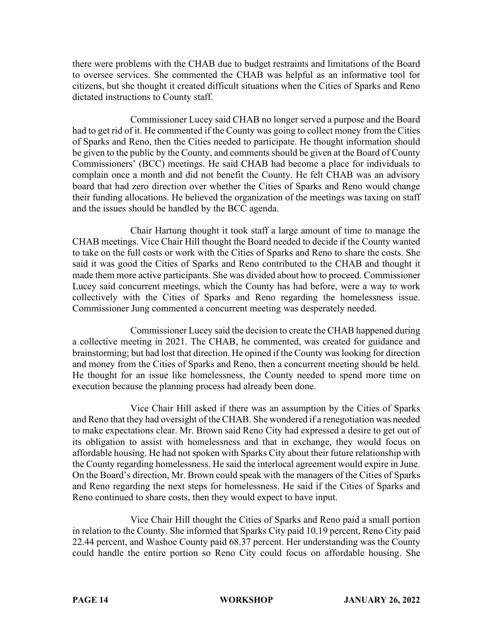there were problems with the CHAB due to budget restraints and limitations of the Board to oversee services. She commented the CHAB was helpful as an informative tool for citizens, but she thought it created difficult situations when the Cities of Sparks and Reno dictated instructions to County staff.

Commissioner Lucey said CHAB no longer served a purpose and the Board had to get rid of it. He commented if the County was going to collect money from the Cities of Sparks and Reno, then the Cities needed to participate. He thought information should be given to the public by the County, and comments should be given at the Board of County Commissioners' (BCC) meetings. He said CHAB had become a place for individuals to complain once a month and did not benefit the County. He felt CHAB was an advisory board that had zero direction over whether the Cities of Sparks and Reno would change their funding allocations. He believed the organization of the meetings was taxing on staff and the issues should be handled by the BCC agenda.

Chair Hartung thought it took staff a large amount of time to manage the CHAB meetings. Vice Chair Hill thought the Board needed to decide if the County wanted to take on the full costs or work with the Cities of Sparks and Reno to share the costs. She said it was good the Cities of Sparks and Reno contributed to the CHAB and thought it made them more active participants. She was divided about how to proceed. Commissioner Lucey said concurrent meetings, which the County has had before, were a way to work collectively with the Cities of Sparks and Reno regarding the homelessness issue. Commissioner Jung commented a concurrent meeting was desperately needed.

Commissioner Lucey said the decision to create the CHAB happened during a collective meeting in 2021. The CHAB, he commented, was created for guidance and brainstorming; but had lost that direction. He opined if the County was looking for direction and money from the Cities of Sparks and Reno, then a concurrent meeting should be held. He thought for an issue like homelessness, the County needed to spend more time on execution because the planning process had already been done.

Vice Chair Hill asked if there was an assumption by the Cities of Sparks and Reno that they had oversight of the CHAB. She wondered if a renegotiation was needed to make expectations clear. Mr. Brown said Reno City had expressed a desire to get out of its obligation to assist with homelessness and that in exchange, they would focus on affordable housing. He had not spoken with Sparks City about their future relationship with the County regarding homelessness. He said the interlocal agreement would expire in June. On the Board's direction, Mr. Brown could speak with the managers of the Cities of Sparks and Reno regarding the next steps for homelessness. He said if the Cities of Sparks and Reno continued to share costs, then they would expect to have input.

Vice Chair Hill thought the Cities of Sparks and Reno paid a small portion in relation to the County. She informed that Sparks City paid 10.19 percent, Reno City paid 22.44 percent, and Washoe County paid 68.37 percent. Her understanding was the County could handle the entire portion so Reno City could focus on affordable housing. She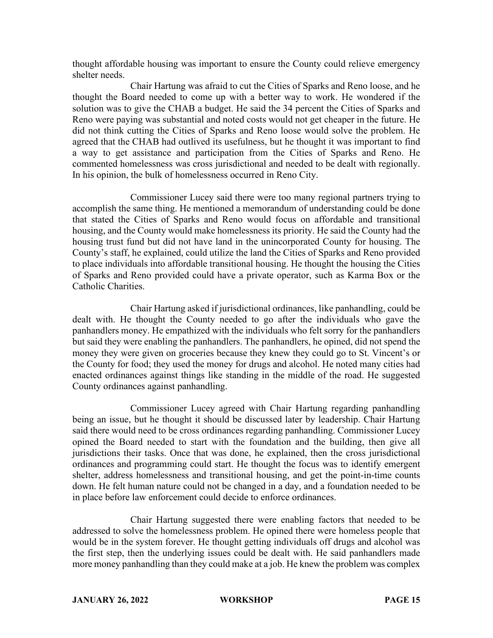thought affordable housing was important to ensure the County could relieve emergency shelter needs.

Chair Hartung was afraid to cut the Cities of Sparks and Reno loose, and he thought the Board needed to come up with a better way to work. He wondered if the solution was to give the CHAB a budget. He said the 34 percent the Cities of Sparks and Reno were paying was substantial and noted costs would not get cheaper in the future. He did not think cutting the Cities of Sparks and Reno loose would solve the problem. He agreed that the CHAB had outlived its usefulness, but he thought it was important to find a way to get assistance and participation from the Cities of Sparks and Reno. He commented homelessness was cross jurisdictional and needed to be dealt with regionally. In his opinion, the bulk of homelessness occurred in Reno City.

Commissioner Lucey said there were too many regional partners trying to accomplish the same thing. He mentioned a memorandum of understanding could be done that stated the Cities of Sparks and Reno would focus on affordable and transitional housing, and the County would make homelessness its priority. He said the County had the housing trust fund but did not have land in the unincorporated County for housing. The County's staff, he explained, could utilize the land the Cities of Sparks and Reno provided to place individuals into affordable transitional housing. He thought the housing the Cities of Sparks and Reno provided could have a private operator, such as Karma Box or the Catholic Charities.

Chair Hartung asked if jurisdictional ordinances, like panhandling, could be dealt with. He thought the County needed to go after the individuals who gave the panhandlers money. He empathized with the individuals who felt sorry for the panhandlers but said they were enabling the panhandlers. The panhandlers, he opined, did not spend the money they were given on groceries because they knew they could go to St. Vincent's or the County for food; they used the money for drugs and alcohol. He noted many cities had enacted ordinances against things like standing in the middle of the road. He suggested County ordinances against panhandling.

Commissioner Lucey agreed with Chair Hartung regarding panhandling being an issue, but he thought it should be discussed later by leadership. Chair Hartung said there would need to be cross ordinances regarding panhandling. Commissioner Lucey opined the Board needed to start with the foundation and the building, then give all jurisdictions their tasks. Once that was done, he explained, then the cross jurisdictional ordinances and programming could start. He thought the focus was to identify emergent shelter, address homelessness and transitional housing, and get the point-in-time counts down. He felt human nature could not be changed in a day, and a foundation needed to be in place before law enforcement could decide to enforce ordinances.

Chair Hartung suggested there were enabling factors that needed to be addressed to solve the homelessness problem. He opined there were homeless people that would be in the system forever. He thought getting individuals off drugs and alcohol was the first step, then the underlying issues could be dealt with. He said panhandlers made more money panhandling than they could make at a job. He knew the problem was complex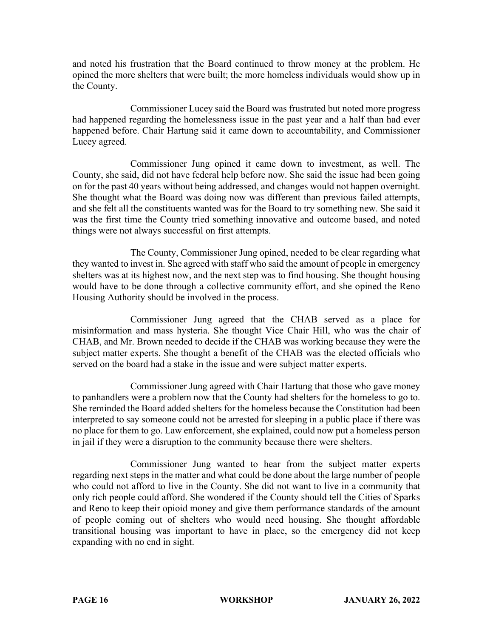and noted his frustration that the Board continued to throw money at the problem. He opined the more shelters that were built; the more homeless individuals would show up in the County.

Commissioner Lucey said the Board was frustrated but noted more progress had happened regarding the homelessness issue in the past year and a half than had ever happened before. Chair Hartung said it came down to accountability, and Commissioner Lucey agreed.

Commissioner Jung opined it came down to investment, as well. The County, she said, did not have federal help before now. She said the issue had been going on for the past 40 years without being addressed, and changes would not happen overnight. She thought what the Board was doing now was different than previous failed attempts, and she felt all the constituents wanted was for the Board to try something new. She said it was the first time the County tried something innovative and outcome based, and noted things were not always successful on first attempts.

The County, Commissioner Jung opined, needed to be clear regarding what they wanted to invest in. She agreed with staff who said the amount of people in emergency shelters was at its highest now, and the next step was to find housing. She thought housing would have to be done through a collective community effort, and she opined the Reno Housing Authority should be involved in the process.

Commissioner Jung agreed that the CHAB served as a place for misinformation and mass hysteria. She thought Vice Chair Hill, who was the chair of CHAB, and Mr. Brown needed to decide if the CHAB was working because they were the subject matter experts. She thought a benefit of the CHAB was the elected officials who served on the board had a stake in the issue and were subject matter experts.

Commissioner Jung agreed with Chair Hartung that those who gave money to panhandlers were a problem now that the County had shelters for the homeless to go to. She reminded the Board added shelters for the homeless because the Constitution had been interpreted to say someone could not be arrested for sleeping in a public place if there was no place for them to go. Law enforcement, she explained, could now put a homeless person in jail if they were a disruption to the community because there were shelters.

Commissioner Jung wanted to hear from the subject matter experts regarding next steps in the matter and what could be done about the large number of people who could not afford to live in the County. She did not want to live in a community that only rich people could afford. She wondered if the County should tell the Cities of Sparks and Reno to keep their opioid money and give them performance standards of the amount of people coming out of shelters who would need housing. She thought affordable transitional housing was important to have in place, so the emergency did not keep expanding with no end in sight.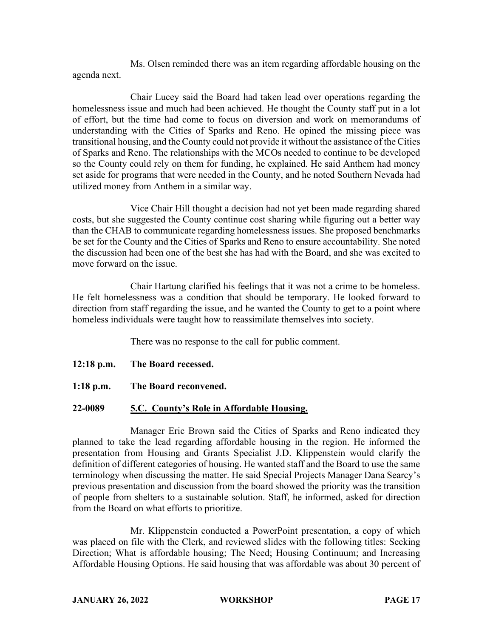Ms. Olsen reminded there was an item regarding affordable housing on the agenda next.

Chair Lucey said the Board had taken lead over operations regarding the homelessness issue and much had been achieved. He thought the County staff put in a lot of effort, but the time had come to focus on diversion and work on memorandums of understanding with the Cities of Sparks and Reno. He opined the missing piece was transitional housing, and the County could not provide it without the assistance of the Cities of Sparks and Reno. The relationships with the MCOs needed to continue to be developed so the County could rely on them for funding, he explained. He said Anthem had money set aside for programs that were needed in the County, and he noted Southern Nevada had utilized money from Anthem in a similar way.

Vice Chair Hill thought a decision had not yet been made regarding shared costs, but she suggested the County continue cost sharing while figuring out a better way than the CHAB to communicate regarding homelessness issues. She proposed benchmarks be set for the County and the Cities of Sparks and Reno to ensure accountability. She noted the discussion had been one of the best she has had with the Board, and she was excited to move forward on the issue.

Chair Hartung clarified his feelings that it was not a crime to be homeless. He felt homelessness was a condition that should be temporary. He looked forward to direction from staff regarding the issue, and he wanted the County to get to a point where homeless individuals were taught how to reassimilate themselves into society.

There was no response to the call for public comment.

- **12:18 p.m. The Board recessed.**
- **1:18 p.m. The Board reconvened.**

### **22-0089 5.C. County's Role in Affordable Housing.**

Manager Eric Brown said the Cities of Sparks and Reno indicated they planned to take the lead regarding affordable housing in the region. He informed the presentation from Housing and Grants Specialist J.D. Klippenstein would clarify the definition of different categories of housing. He wanted staff and the Board to use the same terminology when discussing the matter. He said Special Projects Manager Dana Searcy's previous presentation and discussion from the board showed the priority was the transition of people from shelters to a sustainable solution. Staff, he informed, asked for direction from the Board on what efforts to prioritize.

Mr. Klippenstein conducted a PowerPoint presentation, a copy of which was placed on file with the Clerk, and reviewed slides with the following titles: Seeking Direction; What is affordable housing; The Need; Housing Continuum; and Increasing Affordable Housing Options. He said housing that was affordable was about 30 percent of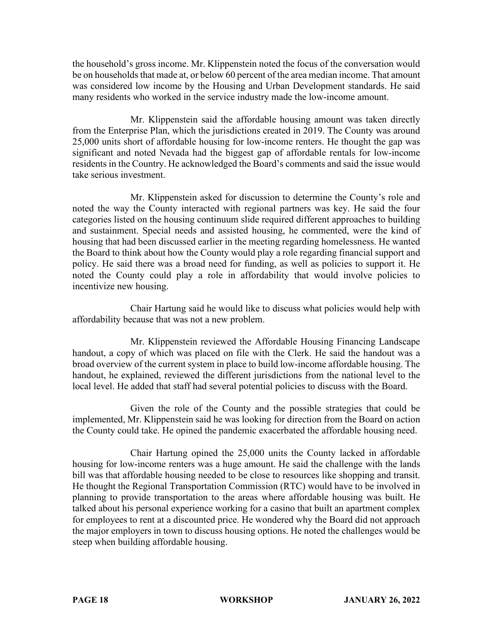the household's gross income. Mr. Klippenstein noted the focus of the conversation would be on households that made at, or below 60 percent of the area median income. That amount was considered low income by the Housing and Urban Development standards. He said many residents who worked in the service industry made the low-income amount.

Mr. Klippenstein said the affordable housing amount was taken directly from the Enterprise Plan, which the jurisdictions created in 2019. The County was around 25,000 units short of affordable housing for low-income renters. He thought the gap was significant and noted Nevada had the biggest gap of affordable rentals for low-income residents in the Country. He acknowledged the Board's comments and said the issue would take serious investment.

Mr. Klippenstein asked for discussion to determine the County's role and noted the way the County interacted with regional partners was key. He said the four categories listed on the housing continuum slide required different approaches to building and sustainment. Special needs and assisted housing, he commented, were the kind of housing that had been discussed earlier in the meeting regarding homelessness. He wanted the Board to think about how the County would play a role regarding financial support and policy. He said there was a broad need for funding, as well as policies to support it. He noted the County could play a role in affordability that would involve policies to incentivize new housing.

Chair Hartung said he would like to discuss what policies would help with affordability because that was not a new problem.

Mr. Klippenstein reviewed the Affordable Housing Financing Landscape handout, a copy of which was placed on file with the Clerk. He said the handout was a broad overview of the current system in place to build low-income affordable housing. The handout, he explained, reviewed the different jurisdictions from the national level to the local level. He added that staff had several potential policies to discuss with the Board.

Given the role of the County and the possible strategies that could be implemented, Mr. Klippenstein said he was looking for direction from the Board on action the County could take. He opined the pandemic exacerbated the affordable housing need.

Chair Hartung opined the 25,000 units the County lacked in affordable housing for low-income renters was a huge amount. He said the challenge with the lands bill was that affordable housing needed to be close to resources like shopping and transit. He thought the Regional Transportation Commission (RTC) would have to be involved in planning to provide transportation to the areas where affordable housing was built. He talked about his personal experience working for a casino that built an apartment complex for employees to rent at a discounted price. He wondered why the Board did not approach the major employers in town to discuss housing options. He noted the challenges would be steep when building affordable housing.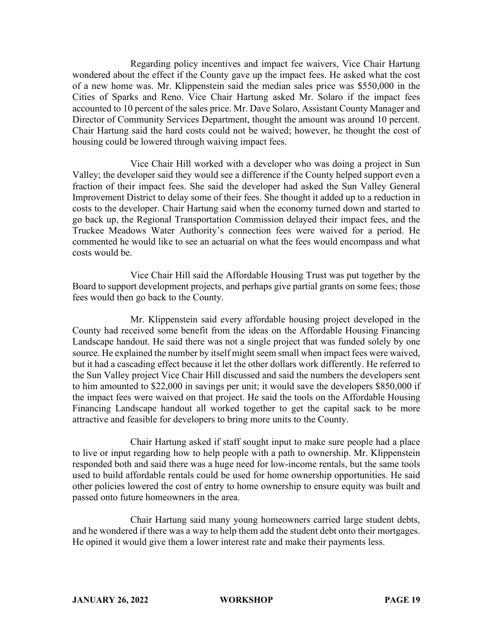Regarding policy incentives and impact fee waivers, Vice Chair Hartung wondered about the effect if the County gave up the impact fees. He asked what the cost of a new home was. Mr. Klippenstein said the median sales price was \$550,000 in the Cities of Sparks and Reno. Vice Chair Hartung asked Mr. Solaro if the impact fees accounted to 10 percent of the sales price. Mr. Dave Solaro, Assistant County Manager and Director of Community Services Department, thought the amount was around 10 percent. Chair Hartung said the hard costs could not be waived; however, he thought the cost of housing could be lowered through waiving impact fees.

Vice Chair Hill worked with a developer who was doing a project in Sun Valley; the developer said they would see a difference if the County helped support even a fraction of their impact fees. She said the developer had asked the Sun Valley General Improvement District to delay some of their fees. She thought it added up to a reduction in costs to the developer. Chair Hartung said when the economy turned down and started to go back up, the Regional Transportation Commission delayed their impact fees, and the Truckee Meadows Water Authority's connection fees were waived for a period. He commented he would like to see an actuarial on what the fees would encompass and what costs would be.

Vice Chair Hill said the Affordable Housing Trust was put together by the Board to support development projects, and perhaps give partial grants on some fees; those fees would then go back to the County.

Mr. Klippenstein said every affordable housing project developed in the County had received some benefit from the ideas on the Affordable Housing Financing Landscape handout. He said there was not a single project that was funded solely by one source. He explained the number by itself might seem small when impact fees were waived, but it had a cascading effect because it let the other dollars work differently. He referred to the Sun Valley project Vice Chair Hill discussed and said the numbers the developers sent to him amounted to \$22,000 in savings per unit; it would save the developers \$850,000 if the impact fees were waived on that project. He said the tools on the Affordable Housing Financing Landscape handout all worked together to get the capital sack to be more attractive and feasible for developers to bring more units to the County.

Chair Hartung asked if staff sought input to make sure people had a place to live or input regarding how to help people with a path to ownership. Mr. Klippenstein responded both and said there was a huge need for low-income rentals, but the same tools used to build affordable rentals could be used for home ownership opportunities. He said other policies lowered the cost of entry to home ownership to ensure equity was built and passed onto future homeowners in the area.

Chair Hartung said many young homeowners carried large student debts, and he wondered if there was a way to help them add the student debt onto their mortgages. He opined it would give them a lower interest rate and make their payments less.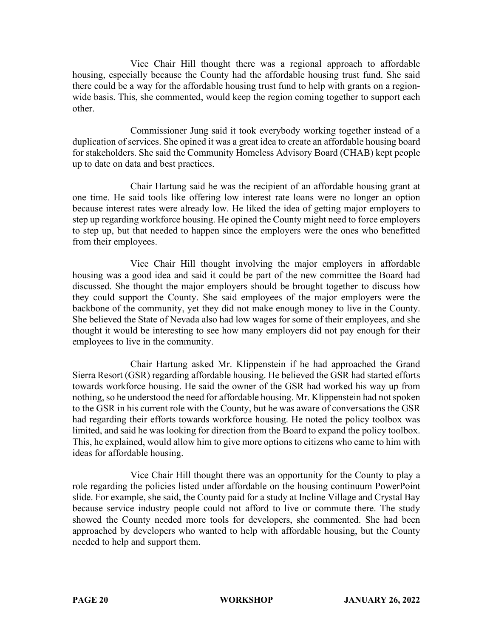Vice Chair Hill thought there was a regional approach to affordable housing, especially because the County had the affordable housing trust fund. She said there could be a way for the affordable housing trust fund to help with grants on a regionwide basis. This, she commented, would keep the region coming together to support each other.

Commissioner Jung said it took everybody working together instead of a duplication of services. She opined it was a great idea to create an affordable housing board for stakeholders. She said the Community Homeless Advisory Board (CHAB) kept people up to date on data and best practices.

Chair Hartung said he was the recipient of an affordable housing grant at one time. He said tools like offering low interest rate loans were no longer an option because interest rates were already low. He liked the idea of getting major employers to step up regarding workforce housing. He opined the County might need to force employers to step up, but that needed to happen since the employers were the ones who benefitted from their employees.

Vice Chair Hill thought involving the major employers in affordable housing was a good idea and said it could be part of the new committee the Board had discussed. She thought the major employers should be brought together to discuss how they could support the County. She said employees of the major employers were the backbone of the community, yet they did not make enough money to live in the County. She believed the State of Nevada also had low wages for some of their employees, and she thought it would be interesting to see how many employers did not pay enough for their employees to live in the community.

Chair Hartung asked Mr. Klippenstein if he had approached the Grand Sierra Resort (GSR) regarding affordable housing. He believed the GSR had started efforts towards workforce housing. He said the owner of the GSR had worked his way up from nothing, so he understood the need for affordable housing. Mr. Klippenstein had not spoken to the GSR in his current role with the County, but he was aware of conversations the GSR had regarding their efforts towards workforce housing. He noted the policy toolbox was limited, and said he was looking for direction from the Board to expand the policy toolbox. This, he explained, would allow him to give more options to citizens who came to him with ideas for affordable housing.

Vice Chair Hill thought there was an opportunity for the County to play a role regarding the policies listed under affordable on the housing continuum PowerPoint slide. For example, she said, the County paid for a study at Incline Village and Crystal Bay because service industry people could not afford to live or commute there. The study showed the County needed more tools for developers, she commented. She had been approached by developers who wanted to help with affordable housing, but the County needed to help and support them.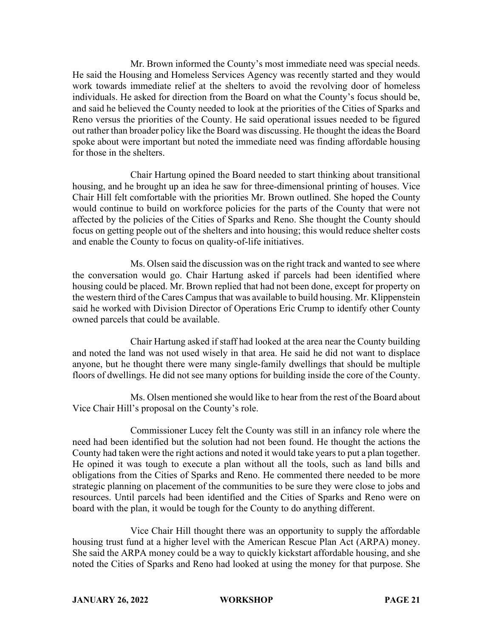Mr. Brown informed the County's most immediate need was special needs. He said the Housing and Homeless Services Agency was recently started and they would work towards immediate relief at the shelters to avoid the revolving door of homeless individuals. He asked for direction from the Board on what the County's focus should be, and said he believed the County needed to look at the priorities of the Cities of Sparks and Reno versus the priorities of the County. He said operational issues needed to be figured out rather than broader policy like the Board was discussing. He thought the ideas the Board spoke about were important but noted the immediate need was finding affordable housing for those in the shelters.

Chair Hartung opined the Board needed to start thinking about transitional housing, and he brought up an idea he saw for three-dimensional printing of houses. Vice Chair Hill felt comfortable with the priorities Mr. Brown outlined. She hoped the County would continue to build on workforce policies for the parts of the County that were not affected by the policies of the Cities of Sparks and Reno. She thought the County should focus on getting people out of the shelters and into housing; this would reduce shelter costs and enable the County to focus on quality-of-life initiatives.

Ms. Olsen said the discussion was on the right track and wanted to see where the conversation would go. Chair Hartung asked if parcels had been identified where housing could be placed. Mr. Brown replied that had not been done, except for property on the western third of the Cares Campus that was available to build housing. Mr. Klippenstein said he worked with Division Director of Operations Eric Crump to identify other County owned parcels that could be available.

Chair Hartung asked if staff had looked at the area near the County building and noted the land was not used wisely in that area. He said he did not want to displace anyone, but he thought there were many single-family dwellings that should be multiple floors of dwellings. He did not see many options for building inside the core of the County.

Ms. Olsen mentioned she would like to hear from the rest of the Board about Vice Chair Hill's proposal on the County's role.

Commissioner Lucey felt the County was still in an infancy role where the need had been identified but the solution had not been found. He thought the actions the County had taken were the right actions and noted it would take years to put a plan together. He opined it was tough to execute a plan without all the tools, such as land bills and obligations from the Cities of Sparks and Reno. He commented there needed to be more strategic planning on placement of the communities to be sure they were close to jobs and resources. Until parcels had been identified and the Cities of Sparks and Reno were on board with the plan, it would be tough for the County to do anything different.

Vice Chair Hill thought there was an opportunity to supply the affordable housing trust fund at a higher level with the American Rescue Plan Act (ARPA) money. She said the ARPA money could be a way to quickly kickstart affordable housing, and she noted the Cities of Sparks and Reno had looked at using the money for that purpose. She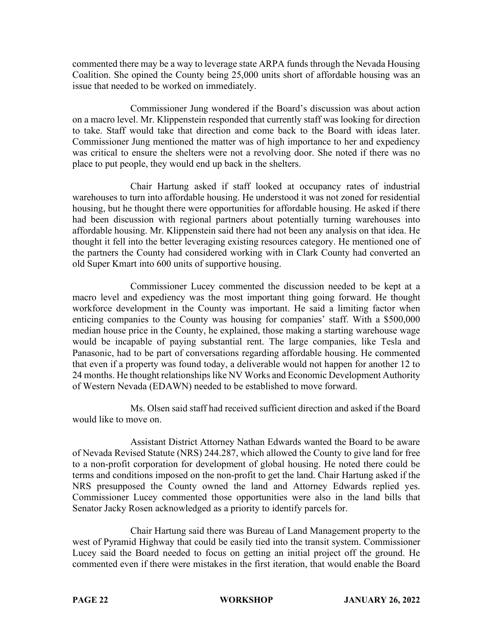commented there may be a way to leverage state ARPA funds through the Nevada Housing Coalition. She opined the County being 25,000 units short of affordable housing was an issue that needed to be worked on immediately.

Commissioner Jung wondered if the Board's discussion was about action on a macro level. Mr. Klippenstein responded that currently staff was looking for direction to take. Staff would take that direction and come back to the Board with ideas later. Commissioner Jung mentioned the matter was of high importance to her and expediency was critical to ensure the shelters were not a revolving door. She noted if there was no place to put people, they would end up back in the shelters.

Chair Hartung asked if staff looked at occupancy rates of industrial warehouses to turn into affordable housing. He understood it was not zoned for residential housing, but he thought there were opportunities for affordable housing. He asked if there had been discussion with regional partners about potentially turning warehouses into affordable housing. Mr. Klippenstein said there had not been any analysis on that idea. He thought it fell into the better leveraging existing resources category. He mentioned one of the partners the County had considered working with in Clark County had converted an old Super Kmart into 600 units of supportive housing.

Commissioner Lucey commented the discussion needed to be kept at a macro level and expediency was the most important thing going forward. He thought workforce development in the County was important. He said a limiting factor when enticing companies to the County was housing for companies' staff. With a \$500,000 median house price in the County, he explained, those making a starting warehouse wage would be incapable of paying substantial rent. The large companies, like Tesla and Panasonic, had to be part of conversations regarding affordable housing. He commented that even if a property was found today, a deliverable would not happen for another 12 to 24 months. He thought relationships like NV Works and Economic Development Authority of Western Nevada (EDAWN) needed to be established to move forward.

Ms. Olsen said staff had received sufficient direction and asked if the Board would like to move on.

Assistant District Attorney Nathan Edwards wanted the Board to be aware of Nevada Revised Statute (NRS) 244.287, which allowed the County to give land for free to a non-profit corporation for development of global housing. He noted there could be terms and conditions imposed on the non-profit to get the land. Chair Hartung asked if the NRS presupposed the County owned the land and Attorney Edwards replied yes. Commissioner Lucey commented those opportunities were also in the land bills that Senator Jacky Rosen acknowledged as a priority to identify parcels for.

Chair Hartung said there was Bureau of Land Management property to the west of Pyramid Highway that could be easily tied into the transit system. Commissioner Lucey said the Board needed to focus on getting an initial project off the ground. He commented even if there were mistakes in the first iteration, that would enable the Board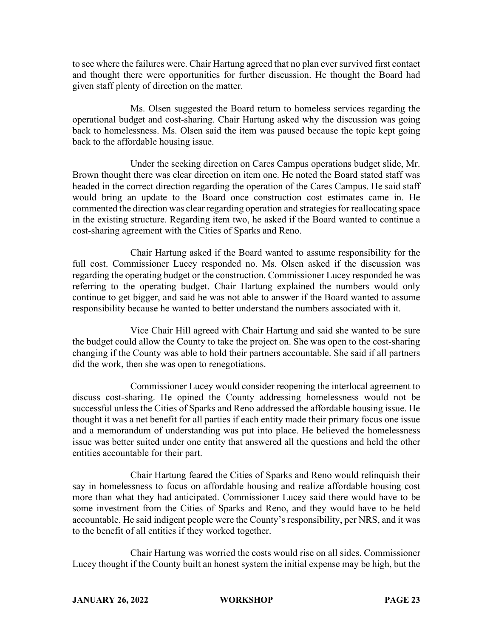to see where the failures were. Chair Hartung agreed that no plan ever survived first contact and thought there were opportunities for further discussion. He thought the Board had given staff plenty of direction on the matter.

Ms. Olsen suggested the Board return to homeless services regarding the operational budget and cost-sharing. Chair Hartung asked why the discussion was going back to homelessness. Ms. Olsen said the item was paused because the topic kept going back to the affordable housing issue.

Under the seeking direction on Cares Campus operations budget slide, Mr. Brown thought there was clear direction on item one. He noted the Board stated staff was headed in the correct direction regarding the operation of the Cares Campus. He said staff would bring an update to the Board once construction cost estimates came in. He commented the direction was clear regarding operation and strategies for reallocating space in the existing structure. Regarding item two, he asked if the Board wanted to continue a cost-sharing agreement with the Cities of Sparks and Reno.

Chair Hartung asked if the Board wanted to assume responsibility for the full cost. Commissioner Lucey responded no. Ms. Olsen asked if the discussion was regarding the operating budget or the construction. Commissioner Lucey responded he was referring to the operating budget. Chair Hartung explained the numbers would only continue to get bigger, and said he was not able to answer if the Board wanted to assume responsibility because he wanted to better understand the numbers associated with it.

Vice Chair Hill agreed with Chair Hartung and said she wanted to be sure the budget could allow the County to take the project on. She was open to the cost-sharing changing if the County was able to hold their partners accountable. She said if all partners did the work, then she was open to renegotiations.

Commissioner Lucey would consider reopening the interlocal agreement to discuss cost-sharing. He opined the County addressing homelessness would not be successful unless the Cities of Sparks and Reno addressed the affordable housing issue. He thought it was a net benefit for all parties if each entity made their primary focus one issue and a memorandum of understanding was put into place. He believed the homelessness issue was better suited under one entity that answered all the questions and held the other entities accountable for their part.

Chair Hartung feared the Cities of Sparks and Reno would relinquish their say in homelessness to focus on affordable housing and realize affordable housing cost more than what they had anticipated. Commissioner Lucey said there would have to be some investment from the Cities of Sparks and Reno, and they would have to be held accountable. He said indigent people were the County's responsibility, per NRS, and it was to the benefit of all entities if they worked together.

Chair Hartung was worried the costs would rise on all sides. Commissioner Lucey thought if the County built an honest system the initial expense may be high, but the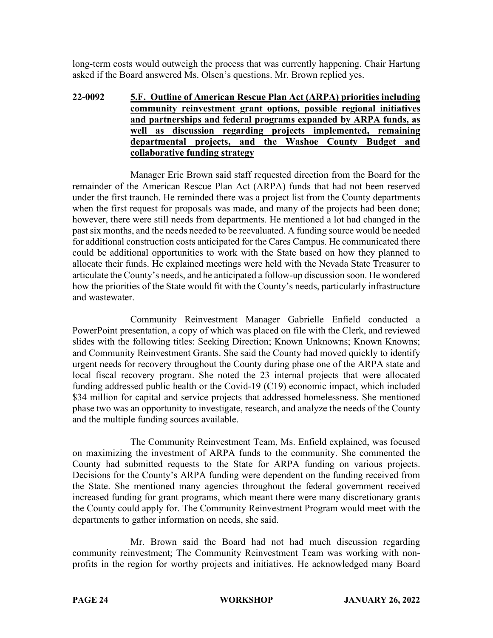long-term costs would outweigh the process that was currently happening. Chair Hartung asked if the Board answered Ms. Olsen's questions. Mr. Brown replied yes.

# **22-0092 5.F. Outline of American Rescue Plan Act (ARPA) priorities including community reinvestment grant options, possible regional initiatives and partnerships and federal programs expanded by ARPA funds, as well as discussion regarding projects implemented, remaining departmental projects, and the Washoe County Budget and collaborative funding strategy**

Manager Eric Brown said staff requested direction from the Board for the remainder of the American Rescue Plan Act (ARPA) funds that had not been reserved under the first traunch. He reminded there was a project list from the County departments when the first request for proposals was made, and many of the projects had been done; however, there were still needs from departments. He mentioned a lot had changed in the past six months, and the needs needed to be reevaluated. A funding source would be needed for additional construction costs anticipated for the Cares Campus. He communicated there could be additional opportunities to work with the State based on how they planned to allocate their funds. He explained meetings were held with the Nevada State Treasurer to articulate the County's needs, and he anticipated a follow-up discussion soon. He wondered how the priorities of the State would fit with the County's needs, particularly infrastructure and wastewater.

Community Reinvestment Manager Gabrielle Enfield conducted a PowerPoint presentation, a copy of which was placed on file with the Clerk, and reviewed slides with the following titles: Seeking Direction; Known Unknowns; Known Knowns; and Community Reinvestment Grants. She said the County had moved quickly to identify urgent needs for recovery throughout the County during phase one of the ARPA state and local fiscal recovery program. She noted the 23 internal projects that were allocated funding addressed public health or the Covid-19 (C19) economic impact, which included \$34 million for capital and service projects that addressed homelessness. She mentioned phase two was an opportunity to investigate, research, and analyze the needs of the County and the multiple funding sources available.

The Community Reinvestment Team, Ms. Enfield explained, was focused on maximizing the investment of ARPA funds to the community. She commented the County had submitted requests to the State for ARPA funding on various projects. Decisions for the County's ARPA funding were dependent on the funding received from the State. She mentioned many agencies throughout the federal government received increased funding for grant programs, which meant there were many discretionary grants the County could apply for. The Community Reinvestment Program would meet with the departments to gather information on needs, she said.

Mr. Brown said the Board had not had much discussion regarding community reinvestment; The Community Reinvestment Team was working with nonprofits in the region for worthy projects and initiatives. He acknowledged many Board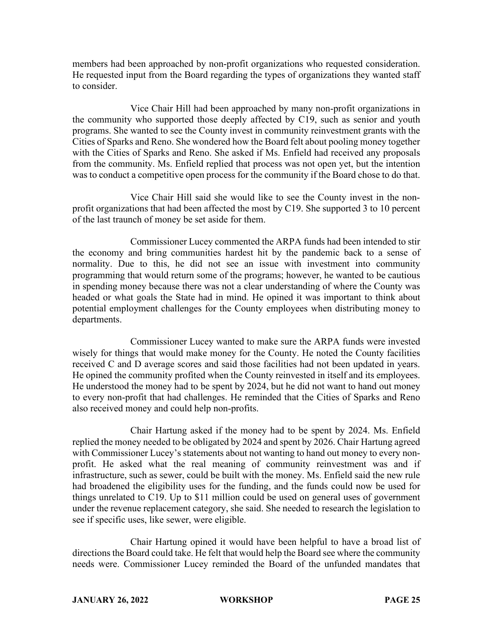members had been approached by non-profit organizations who requested consideration. He requested input from the Board regarding the types of organizations they wanted staff to consider.

Vice Chair Hill had been approached by many non-profit organizations in the community who supported those deeply affected by C19, such as senior and youth programs. She wanted to see the County invest in community reinvestment grants with the Cities of Sparks and Reno. She wondered how the Board felt about pooling money together with the Cities of Sparks and Reno. She asked if Ms. Enfield had received any proposals from the community. Ms. Enfield replied that process was not open yet, but the intention was to conduct a competitive open process for the community if the Board chose to do that.

Vice Chair Hill said she would like to see the County invest in the nonprofit organizations that had been affected the most by C19. She supported 3 to 10 percent of the last traunch of money be set aside for them.

Commissioner Lucey commented the ARPA funds had been intended to stir the economy and bring communities hardest hit by the pandemic back to a sense of normality. Due to this, he did not see an issue with investment into community programming that would return some of the programs; however, he wanted to be cautious in spending money because there was not a clear understanding of where the County was headed or what goals the State had in mind. He opined it was important to think about potential employment challenges for the County employees when distributing money to departments.

Commissioner Lucey wanted to make sure the ARPA funds were invested wisely for things that would make money for the County. He noted the County facilities received C and D average scores and said those facilities had not been updated in years. He opined the community profited when the County reinvested in itself and its employees. He understood the money had to be spent by 2024, but he did not want to hand out money to every non-profit that had challenges. He reminded that the Cities of Sparks and Reno also received money and could help non-profits.

Chair Hartung asked if the money had to be spent by 2024. Ms. Enfield replied the money needed to be obligated by 2024 and spent by 2026. Chair Hartung agreed with Commissioner Lucey's statements about not wanting to hand out money to every nonprofit. He asked what the real meaning of community reinvestment was and if infrastructure, such as sewer, could be built with the money. Ms. Enfield said the new rule had broadened the eligibility uses for the funding, and the funds could now be used for things unrelated to C19. Up to \$11 million could be used on general uses of government under the revenue replacement category, she said. She needed to research the legislation to see if specific uses, like sewer, were eligible.

Chair Hartung opined it would have been helpful to have a broad list of directions the Board could take. He felt that would help the Board see where the community needs were. Commissioner Lucey reminded the Board of the unfunded mandates that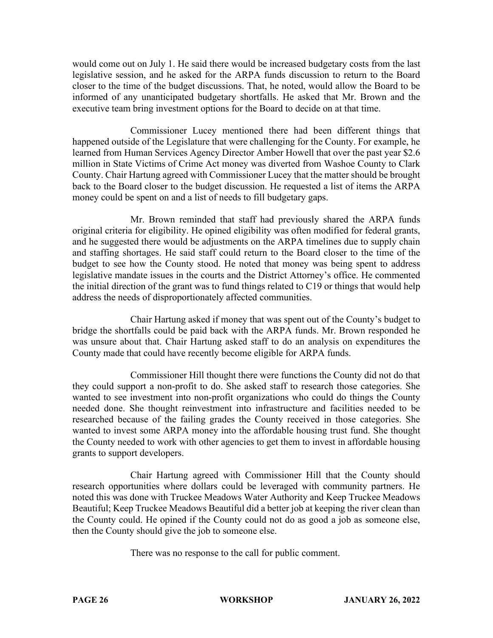would come out on July 1. He said there would be increased budgetary costs from the last legislative session, and he asked for the ARPA funds discussion to return to the Board closer to the time of the budget discussions. That, he noted, would allow the Board to be informed of any unanticipated budgetary shortfalls. He asked that Mr. Brown and the executive team bring investment options for the Board to decide on at that time.

Commissioner Lucey mentioned there had been different things that happened outside of the Legislature that were challenging for the County. For example, he learned from Human Services Agency Director Amber Howell that over the past year \$2.6 million in State Victims of Crime Act money was diverted from Washoe County to Clark County. Chair Hartung agreed with Commissioner Lucey that the matter should be brought back to the Board closer to the budget discussion. He requested a list of items the ARPA money could be spent on and a list of needs to fill budgetary gaps.

Mr. Brown reminded that staff had previously shared the ARPA funds original criteria for eligibility. He opined eligibility was often modified for federal grants, and he suggested there would be adjustments on the ARPA timelines due to supply chain and staffing shortages. He said staff could return to the Board closer to the time of the budget to see how the County stood. He noted that money was being spent to address legislative mandate issues in the courts and the District Attorney's office. He commented the initial direction of the grant was to fund things related to C19 or things that would help address the needs of disproportionately affected communities.

Chair Hartung asked if money that was spent out of the County's budget to bridge the shortfalls could be paid back with the ARPA funds. Mr. Brown responded he was unsure about that. Chair Hartung asked staff to do an analysis on expenditures the County made that could have recently become eligible for ARPA funds.

Commissioner Hill thought there were functions the County did not do that they could support a non-profit to do. She asked staff to research those categories. She wanted to see investment into non-profit organizations who could do things the County needed done. She thought reinvestment into infrastructure and facilities needed to be researched because of the failing grades the County received in those categories. She wanted to invest some ARPA money into the affordable housing trust fund. She thought the County needed to work with other agencies to get them to invest in affordable housing grants to support developers.

Chair Hartung agreed with Commissioner Hill that the County should research opportunities where dollars could be leveraged with community partners. He noted this was done with Truckee Meadows Water Authority and Keep Truckee Meadows Beautiful; Keep Truckee Meadows Beautiful did a better job at keeping the river clean than the County could. He opined if the County could not do as good a job as someone else, then the County should give the job to someone else.

There was no response to the call for public comment.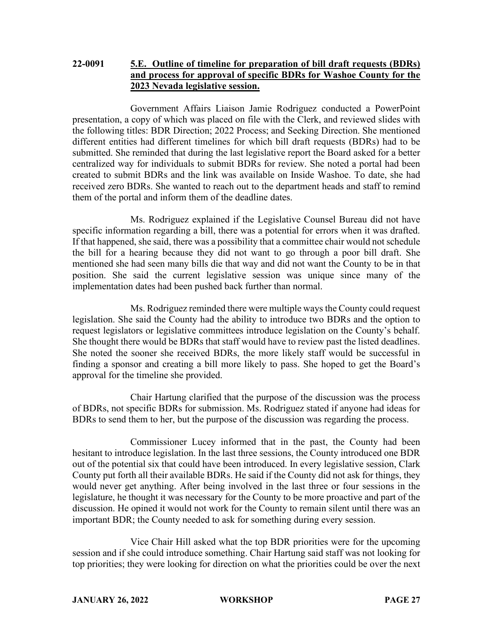# **22-0091 5.E. Outline of timeline for preparation of bill draft requests (BDRs) and process for approval of specific BDRs for Washoe County for the 2023 Nevada legislative session.**

Government Affairs Liaison Jamie Rodriguez conducted a PowerPoint presentation, a copy of which was placed on file with the Clerk, and reviewed slides with the following titles: BDR Direction; 2022 Process; and Seeking Direction. She mentioned different entities had different timelines for which bill draft requests (BDRs) had to be submitted. She reminded that during the last legislative report the Board asked for a better centralized way for individuals to submit BDRs for review. She noted a portal had been created to submit BDRs and the link was available on Inside Washoe. To date, she had received zero BDRs. She wanted to reach out to the department heads and staff to remind them of the portal and inform them of the deadline dates.

Ms. Rodriguez explained if the Legislative Counsel Bureau did not have specific information regarding a bill, there was a potential for errors when it was drafted. If that happened, she said, there was a possibility that a committee chair would not schedule the bill for a hearing because they did not want to go through a poor bill draft. She mentioned she had seen many bills die that way and did not want the County to be in that position. She said the current legislative session was unique since many of the implementation dates had been pushed back further than normal.

Ms. Rodriguez reminded there were multiple ways the County could request legislation. She said the County had the ability to introduce two BDRs and the option to request legislators or legislative committees introduce legislation on the County's behalf. She thought there would be BDRs that staff would have to review past the listed deadlines. She noted the sooner she received BDRs, the more likely staff would be successful in finding a sponsor and creating a bill more likely to pass. She hoped to get the Board's approval for the timeline she provided.

Chair Hartung clarified that the purpose of the discussion was the process of BDRs, not specific BDRs for submission. Ms. Rodriguez stated if anyone had ideas for BDRs to send them to her, but the purpose of the discussion was regarding the process.

Commissioner Lucey informed that in the past, the County had been hesitant to introduce legislation. In the last three sessions, the County introduced one BDR out of the potential six that could have been introduced. In every legislative session, Clark County put forth all their available BDRs. He said if the County did not ask for things, they would never get anything. After being involved in the last three or four sessions in the legislature, he thought it was necessary for the County to be more proactive and part of the discussion. He opined it would not work for the County to remain silent until there was an important BDR; the County needed to ask for something during every session.

Vice Chair Hill asked what the top BDR priorities were for the upcoming session and if she could introduce something. Chair Hartung said staff was not looking for top priorities; they were looking for direction on what the priorities could be over the next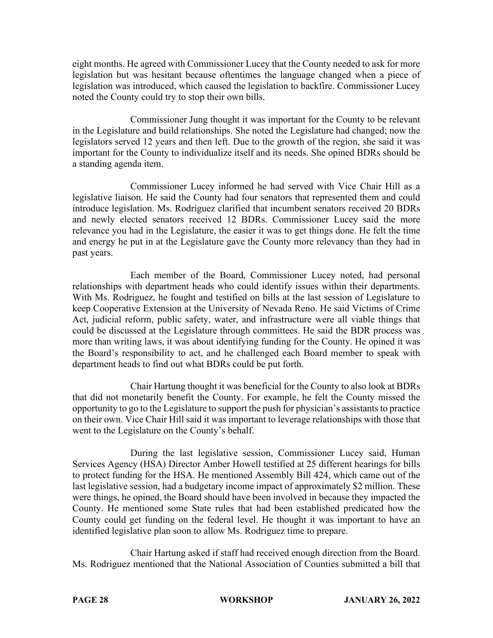eight months. He agreed with Commissioner Lucey that the County needed to ask for more legislation but was hesitant because oftentimes the language changed when a piece of legislation was introduced, which caused the legislation to backfire. Commissioner Lucey noted the County could try to stop their own bills.

Commissioner Jung thought it was important for the County to be relevant in the Legislature and build relationships. She noted the Legislature had changed; now the legislators served 12 years and then left. Due to the growth of the region, she said it was important for the County to individualize itself and its needs. She opined BDRs should be a standing agenda item.

Commissioner Lucey informed he had served with Vice Chair Hill as a legislative liaison. He said the County had four senators that represented them and could introduce legislation. Ms. Rodriguez clarified that incumbent senators received 20 BDRs and newly elected senators received 12 BDRs. Commissioner Lucey said the more relevance you had in the Legislature, the easier it was to get things done. He felt the time and energy he put in at the Legislature gave the County more relevancy than they had in past years.

Each member of the Board, Commissioner Lucey noted, had personal relationships with department heads who could identify issues within their departments. With Ms. Rodriguez, he fought and testified on bills at the last session of Legislature to keep Cooperative Extension at the University of Nevada Reno. He said Victims of Crime Act, judicial reform, public safety, water, and infrastructure were all viable things that could be discussed at the Legislature through committees. He said the BDR process was more than writing laws, it was about identifying funding for the County. He opined it was the Board's responsibility to act, and he challenged each Board member to speak with department heads to find out what BDRs could be put forth.

Chair Hartung thought it was beneficial for the County to also look at BDRs that did not monetarily benefit the County. For example, he felt the County missed the opportunity to go to the Legislature to support the push for physician's assistants to practice on their own. Vice Chair Hill said it was important to leverage relationships with those that went to the Legislature on the County's behalf.

During the last legislative session, Commissioner Lucey said, Human Services Agency (HSA) Director Amber Howell testified at 25 different hearings for bills to protect funding for the HSA. He mentioned Assembly Bill 424, which came out of the last legislative session, had a budgetary income impact of approximately \$2 million. These were things, he opined, the Board should have been involved in because they impacted the County. He mentioned some State rules that had been established predicated how the County could get funding on the federal level. He thought it was important to have an identified legislative plan soon to allow Ms. Rodriguez time to prepare.

Chair Hartung asked if staff had received enough direction from the Board. Ms. Rodriguez mentioned that the National Association of Counties submitted a bill that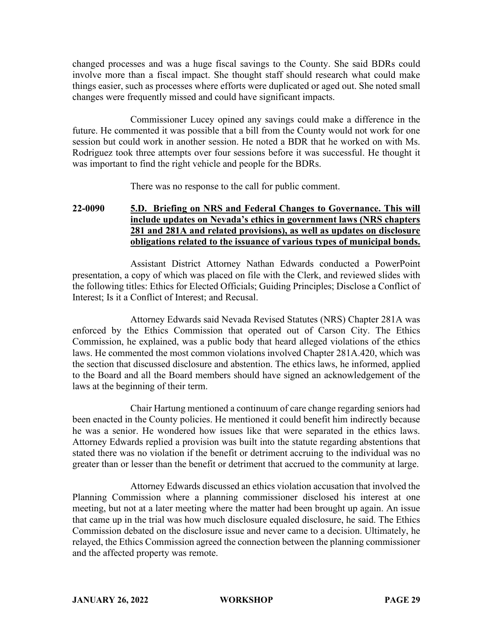changed processes and was a huge fiscal savings to the County. She said BDRs could involve more than a fiscal impact. She thought staff should research what could make things easier, such as processes where efforts were duplicated or aged out. She noted small changes were frequently missed and could have significant impacts.

Commissioner Lucey opined any savings could make a difference in the future. He commented it was possible that a bill from the County would not work for one session but could work in another session. He noted a BDR that he worked on with Ms. Rodriguez took three attempts over four sessions before it was successful. He thought it was important to find the right vehicle and people for the BDRs.

There was no response to the call for public comment.

# **22-0090 5.D. Briefing on NRS and Federal Changes to Governance. This will include updates on Nevada's ethics in government laws (NRS chapters 281 and 281A and related provisions), as well as updates on disclosure obligations related to the issuance of various types of municipal bonds.**

Assistant District Attorney Nathan Edwards conducted a PowerPoint presentation, a copy of which was placed on file with the Clerk, and reviewed slides with the following titles: Ethics for Elected Officials; Guiding Principles; Disclose a Conflict of Interest; Is it a Conflict of Interest; and Recusal.

Attorney Edwards said Nevada Revised Statutes (NRS) Chapter 281A was enforced by the Ethics Commission that operated out of Carson City. The Ethics Commission, he explained, was a public body that heard alleged violations of the ethics laws. He commented the most common violations involved Chapter 281A.420, which was the section that discussed disclosure and abstention. The ethics laws, he informed, applied to the Board and all the Board members should have signed an acknowledgement of the laws at the beginning of their term.

Chair Hartung mentioned a continuum of care change regarding seniors had been enacted in the County policies. He mentioned it could benefit him indirectly because he was a senior. He wondered how issues like that were separated in the ethics laws. Attorney Edwards replied a provision was built into the statute regarding abstentions that stated there was no violation if the benefit or detriment accruing to the individual was no greater than or lesser than the benefit or detriment that accrued to the community at large.

Attorney Edwards discussed an ethics violation accusation that involved the Planning Commission where a planning commissioner disclosed his interest at one meeting, but not at a later meeting where the matter had been brought up again. An issue that came up in the trial was how much disclosure equaled disclosure, he said. The Ethics Commission debated on the disclosure issue and never came to a decision. Ultimately, he relayed, the Ethics Commission agreed the connection between the planning commissioner and the affected property was remote.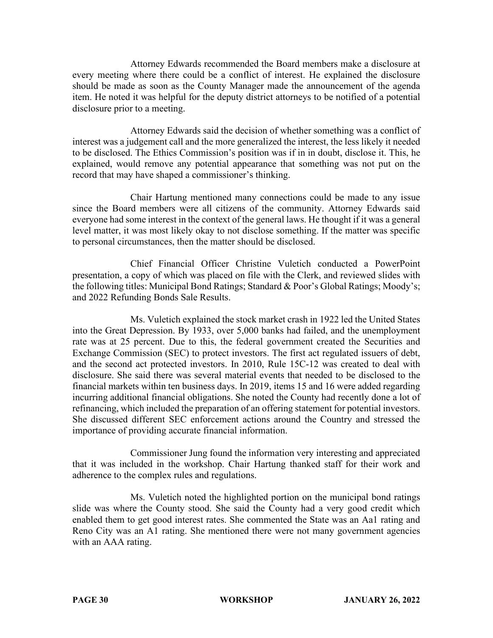Attorney Edwards recommended the Board members make a disclosure at every meeting where there could be a conflict of interest. He explained the disclosure should be made as soon as the County Manager made the announcement of the agenda item. He noted it was helpful for the deputy district attorneys to be notified of a potential disclosure prior to a meeting.

Attorney Edwards said the decision of whether something was a conflict of interest was a judgement call and the more generalized the interest, the less likely it needed to be disclosed. The Ethics Commission's position was if in in doubt, disclose it. This, he explained, would remove any potential appearance that something was not put on the record that may have shaped a commissioner's thinking.

Chair Hartung mentioned many connections could be made to any issue since the Board members were all citizens of the community. Attorney Edwards said everyone had some interest in the context of the general laws. He thought if it was a general level matter, it was most likely okay to not disclose something. If the matter was specific to personal circumstances, then the matter should be disclosed.

Chief Financial Officer Christine Vuletich conducted a PowerPoint presentation, a copy of which was placed on file with the Clerk, and reviewed slides with the following titles: Municipal Bond Ratings; Standard & Poor's Global Ratings; Moody's; and 2022 Refunding Bonds Sale Results.

Ms. Vuletich explained the stock market crash in 1922 led the United States into the Great Depression. By 1933, over 5,000 banks had failed, and the unemployment rate was at 25 percent. Due to this, the federal government created the Securities and Exchange Commission (SEC) to protect investors. The first act regulated issuers of debt, and the second act protected investors. In 2010, Rule 15C-12 was created to deal with disclosure. She said there was several material events that needed to be disclosed to the financial markets within ten business days. In 2019, items 15 and 16 were added regarding incurring additional financial obligations. She noted the County had recently done a lot of refinancing, which included the preparation of an offering statement for potential investors. She discussed different SEC enforcement actions around the Country and stressed the importance of providing accurate financial information.

Commissioner Jung found the information very interesting and appreciated that it was included in the workshop. Chair Hartung thanked staff for their work and adherence to the complex rules and regulations.

Ms. Vuletich noted the highlighted portion on the municipal bond ratings slide was where the County stood. She said the County had a very good credit which enabled them to get good interest rates. She commented the State was an Aa1 rating and Reno City was an A1 rating. She mentioned there were not many government agencies with an AAA rating.